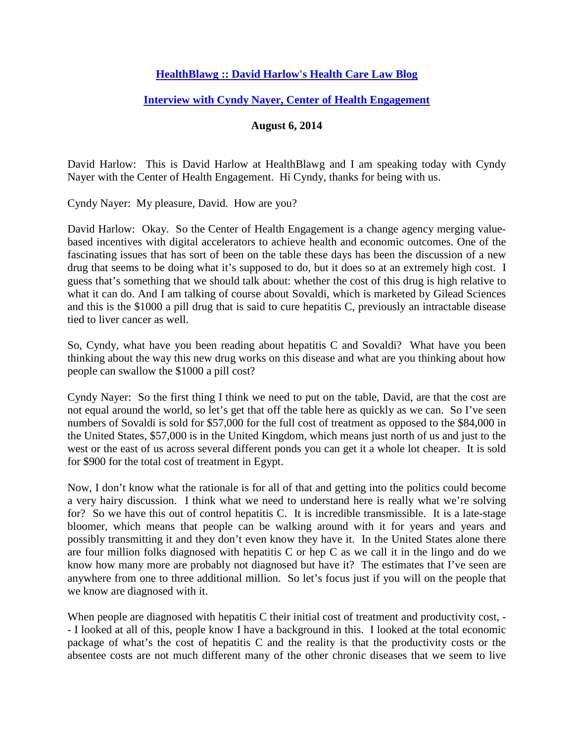## **[HealthBlawg :: David Harlow's Health Care Law Blog](http://healthblawg.com/)**

## **[Interview with Cyndy Nayer, Center of Health Engagement](http://www.healthblawg.com/2014/08/solving-solvadi-david-harlow-talks-value-based-payment-with-cyndy-nayer.html)**

## **August 6, 2014**

David Harlow: This is David Harlow at HealthBlawg and I am speaking today with Cyndy Nayer with the Center of Health Engagement. Hi Cyndy, thanks for being with us.

Cyndy Nayer: My pleasure, David. How are you?

David Harlow: Okay. So the Center of Health Engagement is a change agency merging valuebased incentives with digital accelerators to achieve health and economic outcomes. One of the fascinating issues that has sort of been on the table these days has been the discussion of a new drug that seems to be doing what it's supposed to do, but it does so at an extremely high cost. I guess that's something that we should talk about: whether the cost of this drug is high relative to what it can do. And I am talking of course about Sovaldi, which is marketed by Gilead Sciences and this is the \$1000 a pill drug that is said to cure hepatitis C, previously an intractable disease tied to liver cancer as well.

So, Cyndy, what have you been reading about hepatitis C and Sovaldi? What have you been thinking about the way this new drug works on this disease and what are you thinking about how people can swallow the \$1000 a pill cost?

Cyndy Nayer: So the first thing I think we need to put on the table, David, are that the cost are not equal around the world, so let's get that off the table here as quickly as we can. So I've seen numbers of Sovaldi is sold for \$57,000 for the full cost of treatment as opposed to the \$84,000 in the United States, \$57,000 is in the United Kingdom, which means just north of us and just to the west or the east of us across several different ponds you can get it a whole lot cheaper. It is sold for \$900 for the total cost of treatment in Egypt.

Now, I don't know what the rationale is for all of that and getting into the politics could become a very hairy discussion. I think what we need to understand here is really what we're solving for? So we have this out of control hepatitis C. It is incredible transmissible. It is a late-stage bloomer, which means that people can be walking around with it for years and years and possibly transmitting it and they don't even know they have it. In the United States alone there are four million folks diagnosed with hepatitis C or hep C as we call it in the lingo and do we know how many more are probably not diagnosed but have it? The estimates that I've seen are anywhere from one to three additional million. So let's focus just if you will on the people that we know are diagnosed with it.

When people are diagnosed with hepatitis C their initial cost of treatment and productivity cost, -- I looked at all of this, people know I have a background in this. I looked at the total economic package of what's the cost of hepatitis C and the reality is that the productivity costs or the absentee costs are not much different many of the other chronic diseases that we seem to live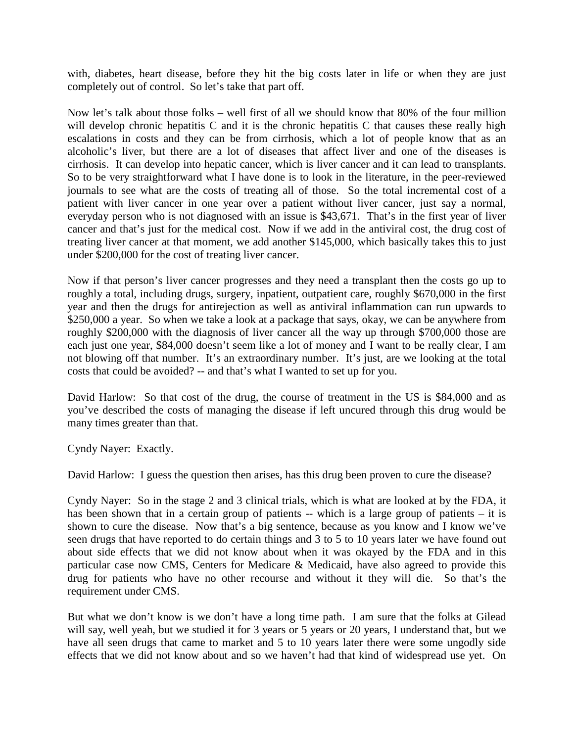with, diabetes, heart disease, before they hit the big costs later in life or when they are just completely out of control. So let's take that part off.

Now let's talk about those folks – well first of all we should know that 80% of the four million will develop chronic hepatitis C and it is the chronic hepatitis C that causes these really high escalations in costs and they can be from cirrhosis, which a lot of people know that as an alcoholic's liver, but there are a lot of diseases that affect liver and one of the diseases is cirrhosis. It can develop into hepatic cancer, which is liver cancer and it can lead to transplants. So to be very straightforward what I have done is to look in the literature, in the peer-reviewed journals to see what are the costs of treating all of those. So the total incremental cost of a patient with liver cancer in one year over a patient without liver cancer, just say a normal, everyday person who is not diagnosed with an issue is \$43,671. That's in the first year of liver cancer and that's just for the medical cost. Now if we add in the antiviral cost, the drug cost of treating liver cancer at that moment, we add another \$145,000, which basically takes this to just under \$200,000 for the cost of treating liver cancer.

Now if that person's liver cancer progresses and they need a transplant then the costs go up to roughly a total, including drugs, surgery, inpatient, outpatient care, roughly \$670,000 in the first year and then the drugs for antirejection as well as antiviral inflammation can run upwards to \$250,000 a year. So when we take a look at a package that says, okay, we can be anywhere from roughly \$200,000 with the diagnosis of liver cancer all the way up through \$700,000 those are each just one year, \$84,000 doesn't seem like a lot of money and I want to be really clear, I am not blowing off that number. It's an extraordinary number. It's just, are we looking at the total costs that could be avoided? -- and that's what I wanted to set up for you.

David Harlow: So that cost of the drug, the course of treatment in the US is \$84,000 and as you've described the costs of managing the disease if left uncured through this drug would be many times greater than that.

Cyndy Nayer: Exactly.

David Harlow: I guess the question then arises, has this drug been proven to cure the disease?

Cyndy Nayer: So in the stage 2 and 3 clinical trials, which is what are looked at by the FDA, it has been shown that in a certain group of patients -- which is a large group of patients – it is shown to cure the disease. Now that's a big sentence, because as you know and I know we've seen drugs that have reported to do certain things and 3 to 5 to 10 years later we have found out about side effects that we did not know about when it was okayed by the FDA and in this particular case now CMS, Centers for Medicare & Medicaid, have also agreed to provide this drug for patients who have no other recourse and without it they will die. So that's the requirement under CMS.

But what we don't know is we don't have a long time path. I am sure that the folks at Gilead will say, well yeah, but we studied it for 3 years or 5 years or 20 years, I understand that, but we have all seen drugs that came to market and 5 to 10 years later there were some ungodly side effects that we did not know about and so we haven't had that kind of widespread use yet. On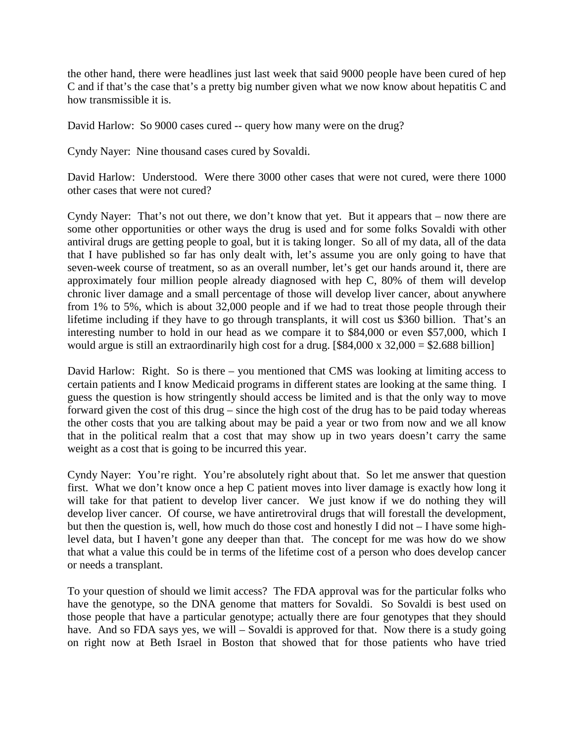the other hand, there were headlines just last week that said 9000 people have been cured of hep C and if that's the case that's a pretty big number given what we now know about hepatitis C and how transmissible it is.

David Harlow: So 9000 cases cured -- query how many were on the drug?

Cyndy Nayer: Nine thousand cases cured by Sovaldi.

David Harlow: Understood. Were there 3000 other cases that were not cured, were there 1000 other cases that were not cured?

Cyndy Nayer: That's not out there, we don't know that yet. But it appears that – now there are some other opportunities or other ways the drug is used and for some folks Sovaldi with other antiviral drugs are getting people to goal, but it is taking longer. So all of my data, all of the data that I have published so far has only dealt with, let's assume you are only going to have that seven-week course of treatment, so as an overall number, let's get our hands around it, there are approximately four million people already diagnosed with hep C, 80% of them will develop chronic liver damage and a small percentage of those will develop liver cancer, about anywhere from 1% to 5%, which is about 32,000 people and if we had to treat those people through their lifetime including if they have to go through transplants, it will cost us \$360 billion. That's an interesting number to hold in our head as we compare it to \$84,000 or even \$57,000, which I would argue is still an extraordinarily high cost for a drug.  $[$84,000 \times 32,000 = $2.688$  billion]

David Harlow: Right. So is there – you mentioned that CMS was looking at limiting access to certain patients and I know Medicaid programs in different states are looking at the same thing. I guess the question is how stringently should access be limited and is that the only way to move forward given the cost of this drug – since the high cost of the drug has to be paid today whereas the other costs that you are talking about may be paid a year or two from now and we all know that in the political realm that a cost that may show up in two years doesn't carry the same weight as a cost that is going to be incurred this year.

Cyndy Nayer: You're right. You're absolutely right about that. So let me answer that question first. What we don't know once a hep C patient moves into liver damage is exactly how long it will take for that patient to develop liver cancer. We just know if we do nothing they will develop liver cancer. Of course, we have antiretroviral drugs that will forestall the development, but then the question is, well, how much do those cost and honestly I did not – I have some highlevel data, but I haven't gone any deeper than that. The concept for me was how do we show that what a value this could be in terms of the lifetime cost of a person who does develop cancer or needs a transplant.

To your question of should we limit access? The FDA approval was for the particular folks who have the genotype, so the DNA genome that matters for Sovaldi. So Sovaldi is best used on those people that have a particular genotype; actually there are four genotypes that they should have. And so FDA says yes, we will – Sovaldi is approved for that. Now there is a study going on right now at Beth Israel in Boston that showed that for those patients who have tried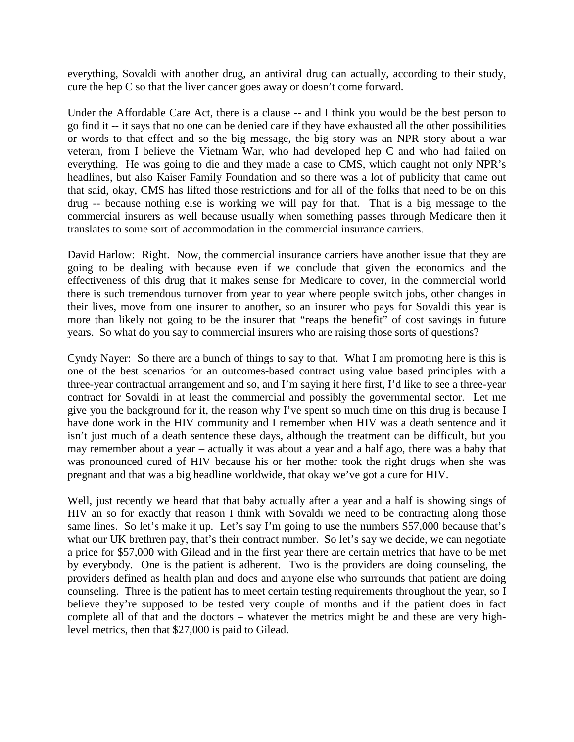everything, Sovaldi with another drug, an antiviral drug can actually, according to their study, cure the hep C so that the liver cancer goes away or doesn't come forward.

Under the Affordable Care Act, there is a clause -- and I think you would be the best person to go find it -- it says that no one can be denied care if they have exhausted all the other possibilities or words to that effect and so the big message, the big story was an NPR story about a war veteran, from I believe the Vietnam War, who had developed hep C and who had failed on everything. He was going to die and they made a case to CMS, which caught not only NPR's headlines, but also Kaiser Family Foundation and so there was a lot of publicity that came out that said, okay, CMS has lifted those restrictions and for all of the folks that need to be on this drug -- because nothing else is working we will pay for that. That is a big message to the commercial insurers as well because usually when something passes through Medicare then it translates to some sort of accommodation in the commercial insurance carriers.

David Harlow: Right. Now, the commercial insurance carriers have another issue that they are going to be dealing with because even if we conclude that given the economics and the effectiveness of this drug that it makes sense for Medicare to cover, in the commercial world there is such tremendous turnover from year to year where people switch jobs, other changes in their lives, move from one insurer to another, so an insurer who pays for Sovaldi this year is more than likely not going to be the insurer that "reaps the benefit" of cost savings in future years. So what do you say to commercial insurers who are raising those sorts of questions?

Cyndy Nayer: So there are a bunch of things to say to that. What I am promoting here is this is one of the best scenarios for an outcomes-based contract using value based principles with a three-year contractual arrangement and so, and I'm saying it here first, I'd like to see a three-year contract for Sovaldi in at least the commercial and possibly the governmental sector. Let me give you the background for it, the reason why I've spent so much time on this drug is because I have done work in the HIV community and I remember when HIV was a death sentence and it isn't just much of a death sentence these days, although the treatment can be difficult, but you may remember about a year – actually it was about a year and a half ago, there was a baby that was pronounced cured of HIV because his or her mother took the right drugs when she was pregnant and that was a big headline worldwide, that okay we've got a cure for HIV.

Well, just recently we heard that that baby actually after a year and a half is showing sings of HIV an so for exactly that reason I think with Sovaldi we need to be contracting along those same lines. So let's make it up. Let's say I'm going to use the numbers \$57,000 because that's what our UK brethren pay, that's their contract number. So let's say we decide, we can negotiate a price for \$57,000 with Gilead and in the first year there are certain metrics that have to be met by everybody. One is the patient is adherent. Two is the providers are doing counseling, the providers defined as health plan and docs and anyone else who surrounds that patient are doing counseling. Three is the patient has to meet certain testing requirements throughout the year, so I believe they're supposed to be tested very couple of months and if the patient does in fact complete all of that and the doctors – whatever the metrics might be and these are very highlevel metrics, then that \$27,000 is paid to Gilead.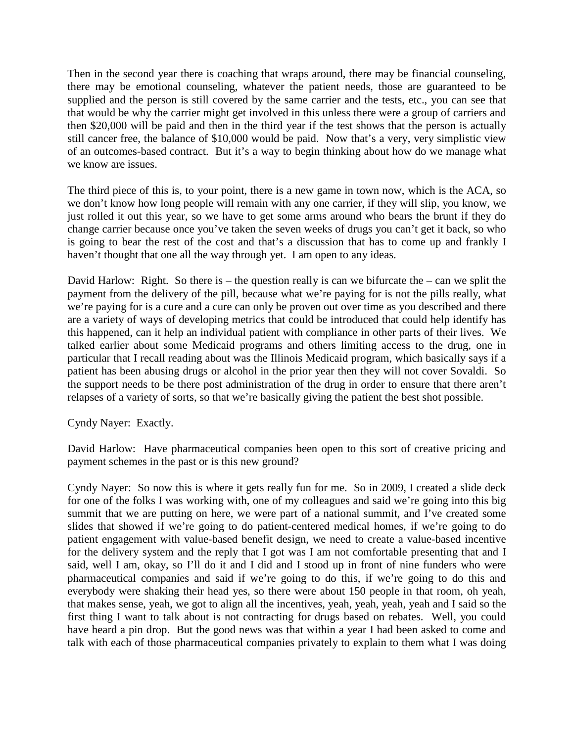Then in the second year there is coaching that wraps around, there may be financial counseling, there may be emotional counseling, whatever the patient needs, those are guaranteed to be supplied and the person is still covered by the same carrier and the tests, etc., you can see that that would be why the carrier might get involved in this unless there were a group of carriers and then \$20,000 will be paid and then in the third year if the test shows that the person is actually still cancer free, the balance of \$10,000 would be paid. Now that's a very, very simplistic view of an outcomes-based contract. But it's a way to begin thinking about how do we manage what we know are issues.

The third piece of this is, to your point, there is a new game in town now, which is the ACA, so we don't know how long people will remain with any one carrier, if they will slip, you know, we just rolled it out this year, so we have to get some arms around who bears the brunt if they do change carrier because once you've taken the seven weeks of drugs you can't get it back, so who is going to bear the rest of the cost and that's a discussion that has to come up and frankly I haven't thought that one all the way through yet. I am open to any ideas.

David Harlow: Right. So there is – the question really is can we bifurcate the – can we split the payment from the delivery of the pill, because what we're paying for is not the pills really, what we're paying for is a cure and a cure can only be proven out over time as you described and there are a variety of ways of developing metrics that could be introduced that could help identify has this happened, can it help an individual patient with compliance in other parts of their lives. We talked earlier about some Medicaid programs and others limiting access to the drug, one in particular that I recall reading about was the Illinois Medicaid program, which basically says if a patient has been abusing drugs or alcohol in the prior year then they will not cover Sovaldi. So the support needs to be there post administration of the drug in order to ensure that there aren't relapses of a variety of sorts, so that we're basically giving the patient the best shot possible.

Cyndy Nayer: Exactly.

David Harlow: Have pharmaceutical companies been open to this sort of creative pricing and payment schemes in the past or is this new ground?

Cyndy Nayer: So now this is where it gets really fun for me. So in 2009, I created a slide deck for one of the folks I was working with, one of my colleagues and said we're going into this big summit that we are putting on here, we were part of a national summit, and I've created some slides that showed if we're going to do patient-centered medical homes, if we're going to do patient engagement with value-based benefit design, we need to create a value-based incentive for the delivery system and the reply that I got was I am not comfortable presenting that and I said, well I am, okay, so I'll do it and I did and I stood up in front of nine funders who were pharmaceutical companies and said if we're going to do this, if we're going to do this and everybody were shaking their head yes, so there were about 150 people in that room, oh yeah, that makes sense, yeah, we got to align all the incentives, yeah, yeah, yeah, yeah and I said so the first thing I want to talk about is not contracting for drugs based on rebates. Well, you could have heard a pin drop. But the good news was that within a year I had been asked to come and talk with each of those pharmaceutical companies privately to explain to them what I was doing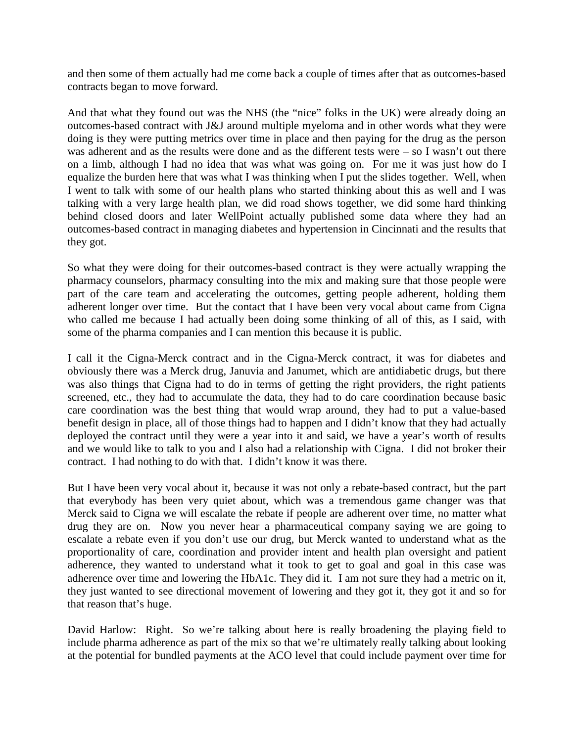and then some of them actually had me come back a couple of times after that as outcomes-based contracts began to move forward.

And that what they found out was the NHS (the "nice" folks in the UK) were already doing an outcomes-based contract with J&J around multiple myeloma and in other words what they were doing is they were putting metrics over time in place and then paying for the drug as the person was adherent and as the results were done and as the different tests were – so I wasn't out there on a limb, although I had no idea that was what was going on. For me it was just how do I equalize the burden here that was what I was thinking when I put the slides together. Well, when I went to talk with some of our health plans who started thinking about this as well and I was talking with a very large health plan, we did road shows together, we did some hard thinking behind closed doors and later WellPoint actually published some data where they had an outcomes-based contract in managing diabetes and hypertension in Cincinnati and the results that they got.

So what they were doing for their outcomes-based contract is they were actually wrapping the pharmacy counselors, pharmacy consulting into the mix and making sure that those people were part of the care team and accelerating the outcomes, getting people adherent, holding them adherent longer over time. But the contact that I have been very vocal about came from Cigna who called me because I had actually been doing some thinking of all of this, as I said, with some of the pharma companies and I can mention this because it is public.

I call it the Cigna-Merck contract and in the Cigna-Merck contract, it was for diabetes and obviously there was a Merck drug, Januvia and Janumet, which are antidiabetic drugs, but there was also things that Cigna had to do in terms of getting the right providers, the right patients screened, etc., they had to accumulate the data, they had to do care coordination because basic care coordination was the best thing that would wrap around, they had to put a value-based benefit design in place, all of those things had to happen and I didn't know that they had actually deployed the contract until they were a year into it and said, we have a year's worth of results and we would like to talk to you and I also had a relationship with Cigna. I did not broker their contract. I had nothing to do with that. I didn't know it was there.

But I have been very vocal about it, because it was not only a rebate-based contract, but the part that everybody has been very quiet about, which was a tremendous game changer was that Merck said to Cigna we will escalate the rebate if people are adherent over time, no matter what drug they are on. Now you never hear a pharmaceutical company saying we are going to escalate a rebate even if you don't use our drug, but Merck wanted to understand what as the proportionality of care, coordination and provider intent and health plan oversight and patient adherence, they wanted to understand what it took to get to goal and goal in this case was adherence over time and lowering the HbA1c. They did it. I am not sure they had a metric on it, they just wanted to see directional movement of lowering and they got it, they got it and so for that reason that's huge.

David Harlow: Right. So we're talking about here is really broadening the playing field to include pharma adherence as part of the mix so that we're ultimately really talking about looking at the potential for bundled payments at the ACO level that could include payment over time for